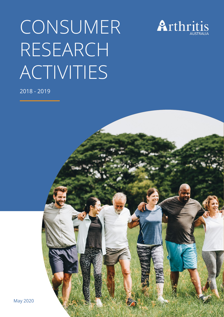# CONSUMER RESEARCH ACTIVITIES



2018 - 2019

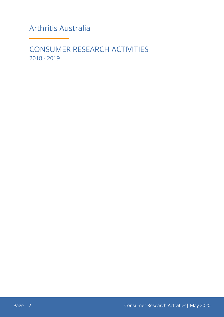Arthritis Australia

CONSUMER RESEARCH ACTIVITIES 2018 - 2019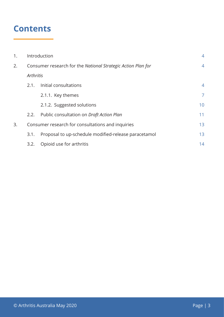# **Contents**

| 1. |                                                              | Introduction                                         |                 |  |
|----|--------------------------------------------------------------|------------------------------------------------------|-----------------|--|
| 2. | Consumer research for the National Strategic Action Plan for |                                                      | 4               |  |
|    |                                                              | Arthritis                                            |                 |  |
|    | 2.1.                                                         | Initial consultations                                | 4               |  |
|    |                                                              | 2.1.1. Key themes                                    | $\overline{7}$  |  |
|    |                                                              | 2.1.2. Suggested solutions                           | 10 <sup>°</sup> |  |
|    | 2.2.                                                         | Public consultation on Draft Action Plan             | 11              |  |
| 3. | Consumer research for consultations and inquiries            |                                                      |                 |  |
|    | 3.1.                                                         | Proposal to up-schedule modified-release paracetamol | 13              |  |
|    | 3.2.                                                         | Opioid use for arthritis                             | 14              |  |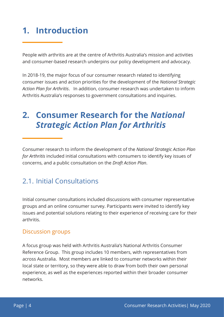# **1. Introduction**

People with arthritis are at the centre of Arthritis Australia's mission and activities and consumer-based research underpins our policy development and advocacy.

In 2018-19, the major focus of our consumer research related to identifying consumer issues and action priorities for the development of the *National Strategic Action Plan for Arthritis*. In addition, consumer research was undertaken to inform Arthritis Australia's responses to government consultations and inquiries.

# **2. Consumer Research for the** *National Strategic Action Plan for Arthritis*

Consumer research to inform the development of the *National Strategic Action Plan for Arthritis* included initial consultations with consumers to identify key issues of concerns, and a public consultation on the *Draft Action Plan*.

## 2.1. Initial Consultations

Initial consumer consultations included discussions with consumer representative groups and an online consumer survey. Participants were invited to identify key issues and potential solutions relating to their experience of receiving care for their arthritis.

#### Discussion groups

A focus group was held with Arthritis Australia's National Arthritis Consumer Reference Group. This group includes 10 members, with representatives from across Australia. Most members are linked to consumer networks within their local state or territory, so they were able to draw from both their own personal experience, as well as the experiences reported within their broader consumer networks.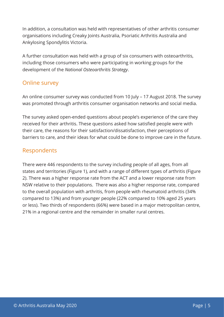In addition, a consultation was held with representatives of other arthritis consumer organisations including Creaky Joints Australia, Psoriatic Arthritis Australia and Ankylosing Spondylitis Victoria.

A further consultation was held with a group of six consumers with osteoarthritis, including those consumers who were participating in working groups for the development of the *National Osteoarthritis Strategy*.

#### Online survey

An online consumer survey was conducted from 10 July – 17 August 2018. The survey was promoted through arthritis consumer organisation networks and social media.

The survey asked open-ended questions about people's experience of the care they received for their arthritis. These questions asked how satisfied people were with their care, the reasons for their satisfaction/dissatisfaction, their perceptions of barriers to care, and their ideas for what could be done to improve care in the future.

#### Respondents

There were 446 respondents to the survey including people of all ages, from all states and territories (Figure 1), and with a range of different types of arthritis (Figure 2). There was a higher response rate from the ACT and a lower response rate from NSW relative to their populations. There was also a higher response rate, compared to the overall population with arthritis, from people with rheumatoid arthritis (34% compared to 13%) and from younger people (22% compared to 10% aged 25 years or less). Two thirds of respondents (66%) were based in a major metropolitan centre, 21% in a regional centre and the remainder in smaller rural centres.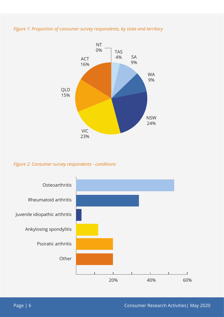#### *Figure 1: Proportion of consumer survey respondents, by state and territory*



#### *Figure 2: Consumer survey respondents - conditions*

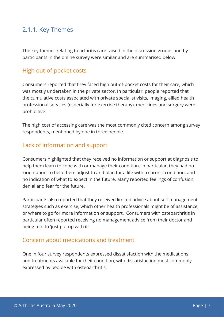#### 2.1.1. Key Themes

The key themes relating to arthritis care raised in the discussion groups and by participants in the online survey were similar and are summarised below.

#### High out-of-pocket costs

Consumers reported that they faced high out-of-pocket costs for their care, which was mostly undertaken in the private sector. In particular, people reported that the cumulative costs associated with private specialist visits, imaging, allied health professional services (especially for exercise therapy), medicines and surgery were prohibitive.

The high cost of accessing care was the most commonly cited concern among survey respondents, mentioned by one in three people.

#### Lack of information and support

Consumers highlighted that they received no information or support at diagnosis to help them learn to cope with or manage their condition. In particular, they had no 'orientation' to help them adjust to and plan for a life with a chronic condition, and no indication of what to expect in the future. Many reported feelings of confusion, denial and fear for the future.

Participants also reported that they received limited advice about self-management strategies such as exercise, which other health professionals might be of assistance, or where to go for more information or support. Consumers with osteoarthritis in particular often reported receiving no management advice from their doctor and being told to 'just put up with it'.

#### Concern about medications and treatment

One in four survey respondents expressed dissatisfaction with the medications and treatments available for their condition, with dissatisfaction most commonly expressed by people with osteoarthritis.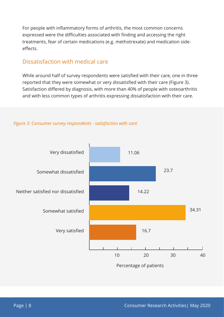For people with inflammatory forms of arthritis, the most common concerns expressed were the difficulties associated with finding and accessing the right treatments, fear of certain medications (e.g. methotrexate) and medication sideeffects.

#### Dissatisfaction with medical care

While around half of survey respondents were satisfied with their care, one in three reported that they were somewhat or very dissatisfied with their care (Figure 3). Satisfaction differed by diagnosis, with more than 40% of people with osteoarthritis and with less common types of arthritis expressing dissatisfaction with their care.



#### *Figure 3: Consumer survey respondents - satisfaction with care*

Percentage of patients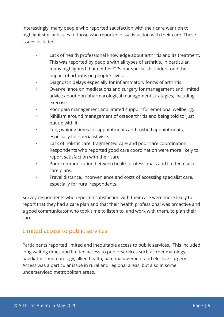Interestingly, many people who reported satisfaction with their care went on to highlight similar issues to those who reported dissatisfaction with their care. These issues included:

- Lack of health professional knowledge about arthritis and its treatment. This was reported by people with all types of arthritis. In particular, many highlighted that neither GPs nor specialists understood the impact of arthritis on people's lives.
- Diagnostic delays especially for inflammatory forms of arthritis.
- Over-reliance on medications and surgery for management and limited advice about non-pharmacological management strategies, including exercise.
- Poor pain management and limited support for emotional wellbeing.
- Nihilism around management of osteoarthritis and being told to 'just put up with it'.
- Long waiting times for appointments and rushed appointments, especially for specialist visits.
- Lack of holistic care, fragmented care and poor care coordination. Respondents who reported good care coordination were more likely to report satisfaction with their care.
- Poor communication between health professionals and limited use of care plans.
- Travel distance, inconvenience and costs of accessing specialist care, especially for rural respondents.

Survey respondents who reported satisfaction with their care were more likely to report that they had a care plan and that their health professional was proactive and a good communicator who took time to listen to, and work with them, to plan their care.

#### Limited access to public services

Participants reported limited and inequitable access to public services. This included long waiting times and limited access to public services such as rheumatology, paediatric rheumatology, allied health, pain management and elective surgery. Access was a particular issue in rural and regional areas, but also in some underserviced metropolitan areas.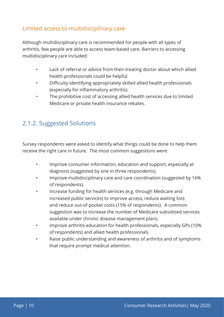#### Limited access to multidisciplinary care

Although multidisciplinary care is recommended for people with all types of arthritis, few people are able to access team-based care. Barriers to accessing multidisciplinary care included:

- Lack of referral or advice from their treating doctor about which allied health professionals could be helpful.
- Difficulty identifying appropriately skilled allied health professionals (especially for inflammatory arthritis).
- The prohibitive cost of accessing allied health services due to limited Medicare or private health insurance rebates.

### 2.1.2. Suggested Solutions

Survey respondents were asked to identify what things could be done to help them receive the right care in future. The most common suggestions were:

- Improve consumer information, education and support, especially at diagnosis (suggested by one in three respondents).
- Improve multidisciplinary care and care coordination (suggested by 16% of respondents).
- Increase funding for health services (e.g. through Medicare and increased public services) to improve access, reduce waiting lists and reduce out-of-pocket costs (15% of respondents). A common suggestion was to increase the number of Medicare subsidised services available under chronic disease management plans.
- Improve arthritis education for health professionals, especially GPs (10% of respondents) and allied health professionals.
- Raise public understanding and awareness of arthritis and of symptoms that require prompt medical attention.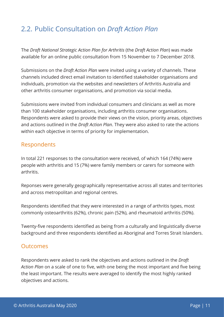## 2.2. Public Consultation on *Draft Action Plan*

The *Draft National Strategic Action Plan for Arthritis* (the *Draft Action Plan*) was made available for an online public consultation from 15 November to 7 December 2018.

Submissions on the *Draft Action Plan* were invited using a variety of channels. These channels included direct email invitation to identified stakeholder organisations and individuals, promotion via the websites and newsletters of Arthritis Australia and other arthritis consumer organisations, and promotion via social media.

Submissions were invited from individual consumers and clinicians as well as more than 100 stakeholder organisations, including arthritis consumer organisations. Respondents were asked to provide their views on the vision, priority areas, objectives and actions outlined in the *Draft Action Plan*. They were also asked to rate the actions within each objective in terms of priority for implementation.

#### Respondents

In total 221 responses to the consultation were received, of which 164 (74%) were people with arthritis and 15 (7%) were family members or carers for someone with arthritis.

Reponses were generally geographically representative across all states and territories and across metropolitan and regional centres.

Respondents identified that they were interested in a range of arthritis types, most commonly osteoarthritis (62%), chronic pain (52%), and rheumatoid arthritis (50%).

Twenty-five respondents identified as being from a culturally and linguistically diverse background and three respondents identified as Aboriginal and Torres Strait Islanders.

#### **Outcomes**

Respondents were asked to rank the objectives and actions outlined in the *Draft Action Plan* on a scale of one to five, with one being the most important and five being the least important. The results were averaged to identify the most highly ranked objectives and actions.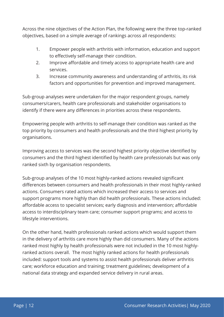Across the nine objectives of the Action Plan, the following were the three top-ranked objectives, based on a simple average of rankings across all respondents:

- 1. Empower people with arthritis with information, education and support to effectively self-manage their condition.
- 2. Improve affordable and timely access to appropriate health care and services.
- 3. Increase community awareness and understanding of arthritis, its risk factors and opportunities for prevention and improved management.

Sub-group analyses were undertaken for the major respondent groups, namely consumers/carers, health care professionals and stakeholder organisations to identify if there were any differences in priorities across these respondents.

Empowering people with arthritis to self-manage their condition was ranked as the top priority by consumers and health professionals and the third highest priority by organisations.

Improving access to services was the second highest priority objective identified by consumers and the third highest identified by health care professionals but was only ranked sixth by organisation respondents.

Sub-group analyses of the 10 most highly-ranked actions revealed significant differences between consumers and health professionals in their most highly-ranked actions. Consumers rated actions which increased their access to services and support programs more highly than did health professionals. These actions included: affordable access to specialist services; early diagnosis and intervention; affordable access to interdisciplinary team care; consumer support programs; and access to lifestyle interventions.

On the other hand, health professionals ranked actions which would support them in the delivery of arthritis care more highly than did consumers. Many of the actions ranked most highly by health professionals were not included in the 10 most highlyranked actions overall. The most highly ranked actions for health professionals included: support tools and systems to assist health professionals deliver arthritis care; workforce education and training; treatment guidelines; development of a national data strategy and expanded service delivery in rural areas.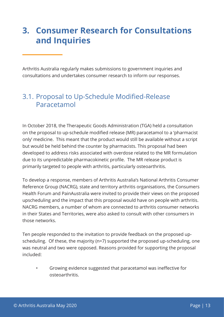# **3. Consumer Research for Consultations and Inquiries**

Arthritis Australia regularly makes submissions to government inquiries and consultations and undertakes consumer research to inform our responses.

## 3.1. Proposal to Up-Schedule Modified-Release Paracetamol

In October 2018, the Therapeutic Goods Administration (TGA) held a consultation on the proposal to up-schedule modified release (MR) paracetamol to a 'pharmacist only' medicine. This meant that the product would still be available without a script but would be held behind the counter by pharmacists. This proposal had been developed to address risks associated with overdose related to the MR formulation due to its unpredictable pharmacokinetic profile. The MR release product is primarily targeted to people with arthritis, particularly osteoarthritis.

To develop a response, members of Arthritis Australia's National Arthritis Consumer Reference Group (NACRG), state and territory arthritis organisations, the Consumers Health Forum and PainAustralia were invited to provide their views on the proposed upscheduling and the impact that this proposal would have on people with arthritis. NACRG members, a number of whom are connected to arthritis consumer networks in their States and Territories, were also asked to consult with other consumers in those networks.

Ten people responded to the invitation to provide feedback on the proposed upscheduling. Of these, the majority (n=7) supported the proposed up-scheduling, one was neutral and two were opposed. Reasons provided for supporting the proposal included:

• Growing evidence suggested that paracetamol was ineffective for osteoarthritis.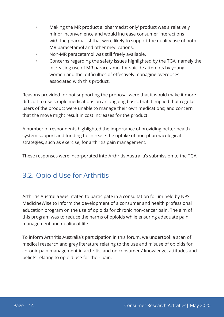- Making the MR product a 'pharmacist only' product was a relatively minor inconvenience and would increase consumer interactions with the pharmacist that were likely to support the quality use of both MR paracetamol and other medications.
- Non-MR paracetamol was still freely available.
- Concerns regarding the safety issues highlighted by the TGA, namely the increasing use of MR paracetamol for suicide attempts by young women and the difficulties of effectively managing overdoses associated with this product.

Reasons provided for not supporting the proposal were that it would make it more difficult to use simple medications on an ongoing basis; that it implied that regular users of the product were unable to manage their own medications; and concern that the move might result in cost increases for the product.

A number of respondents highlighted the importance of providing better health system support and funding to increase the uptake of non-pharmacological strategies, such as exercise, for arthritis pain management.

These responses were incorporated into Arthritis Australia's submission to the TGA.

## 3.2. Opioid Use for Arthritis

Arthritis Australia was invited to participate in a consultation forum held by NPS MedicineWise to inform the development of a consumer and health professional education program on the use of opioids for chronic non-cancer pain. The aim of this program was to reduce the harms of opioids while ensuring adequate pain management and quality of life.

To inform Arthritis Australia's participation in this forum, we undertook a scan of medical research and grey literature relating to the use and misuse of opioids for chronic pain management in arthritis, and on consumers' knowledge, attitudes and beliefs relating to opioid use for their pain.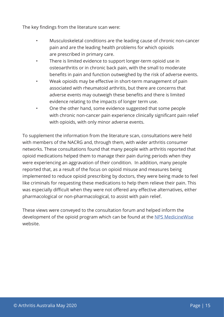The key findings from the literature scan were:

- Musculoskeletal conditions are the leading cause of chronic non-cancer pain and are the leading health problems for which opioids are prescribed in primary care.
- There is limited evidence to support longer-term opioid use in osteoarthritis or in chronic back pain, with the small to moderate benefits in pain and function outweighed by the risk of adverse events.
- Weak opioids may be effective in short-term management of pain associated with rheumatoid arthritis, but there are concerns that adverse events may outweigh these benefits and there is limited evidence relating to the impacts of longer term use.
- One the other hand, some evidence suggested that some people with chronic non-cancer pain experience clinically significant pain relief with opioids, with only minor adverse events.

To supplement the information from the literature scan, consultations were held with members of the NACRG and, through them, with wider arthritis consumer networks. These consultations found that many people with arthritis reported that opioid medications helped them to manage their pain during periods when they were experiencing an aggravation of their condition. In addition, many people reported that, as a result of the focus on opioid misuse and measures being implemented to reduce opioid prescribing by doctors, they were being made to feel like criminals for requesting these medications to help them relieve their pain. This was especially difficult when they were not offered any effective alternatives, either pharmacological or non-pharmacological, to assist with pain relief.

These views were conveyed to the consultation forum and helped inform the development of the opioid program which can be found at the [NPS MedicineWise](https://www.nps.org.au/professionals/opioids-chronic-pain) website.